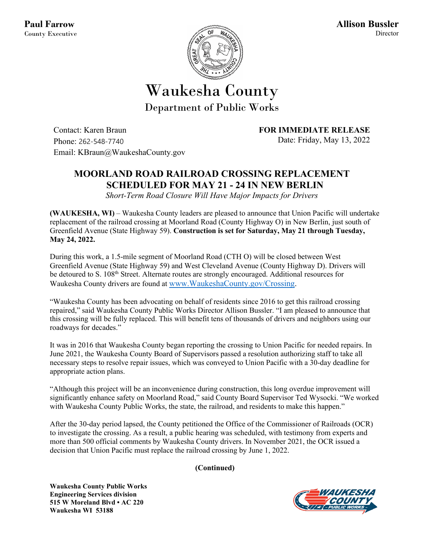

## Waukesha County Department of Public Works

Contact: Karen Braun Phone: 262-548-7740 Email: KBraun@WaukeshaCounty.gov **FOR IMMEDIATE RELEASE** Date: Friday, May 13, 2022

## **MOORLAND ROAD RAILROAD CROSSING REPLACEMENT SCHEDULED FOR MAY 21 - 24 IN NEW BERLIN**

*Short-Term Road Closure Will Have Major Impacts for Drivers*

**(WAUKESHA, WI)** – Waukesha County leaders are pleased to announce that Union Pacific will undertake replacement of the railroad crossing at Moorland Road (County Highway O) in New Berlin, just south of Greenfield Avenue (State Highway 59). **Construction is set for Saturday, May 21 through Tuesday, May 24, 2022.**

During this work, a 1.5-mile segment of Moorland Road (CTH O) will be closed between West Greenfield Avenue (State Highway 59) and West Cleveland Avenue (County Highway D). Drivers will be detoured to S. 108<sup>th</sup> Street. Alternate routes are strongly encouraged. Additional resources for Waukesha County drivers are found at [www.WaukeshaCounty.gov/Crossing.](http://www.waukeshacounty.gov/Crossing)

"Waukesha County has been advocating on behalf of residents since 2016 to get this railroad crossing repaired," said Waukesha County Public Works Director Allison Bussler. "I am pleased to announce that this crossing will be fully replaced. This will benefit tens of thousands of drivers and neighbors using our roadways for decades."

It was in 2016 that Waukesha County began reporting the crossing to Union Pacific for needed repairs. In June 2021, the Waukesha County Board of Supervisors passed a resolution authorizing staff to take all necessary steps to resolve repair issues, which was conveyed to Union Pacific with a 30-day deadline for appropriate action plans.

"Although this project will be an inconvenience during construction, this long overdue improvement will significantly enhance safety on Moorland Road," said County Board Supervisor Ted Wysocki. "We worked with Waukesha County Public Works, the state, the railroad, and residents to make this happen."

After the 30-day period lapsed, the County petitioned the Office of the Commissioner of Railroads (OCR) to investigate the crossing. As a result, a public hearing was scheduled, with testimony from experts and more than 500 official comments by Waukesha County drivers. In November 2021, the OCR issued a decision that Union Pacific must replace the railroad crossing by June 1, 2022.

**(Continued)**

**Waukesha County Public Works Engineering Services division 515 W Moreland Blvd • AC 220 Waukesha WI 53188**